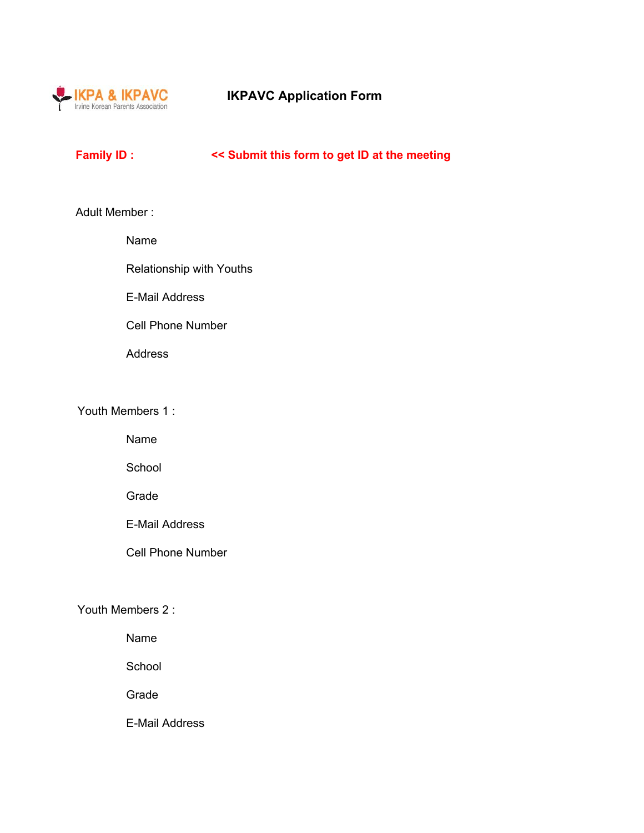

# **IKPAVC Application Form**

## **Family ID : << Submit this form to get ID at the meeting**

#### Adult Member :

Name

Relationship with Youths

E-Mail Address

Cell Phone Number

Address

Youth Members 1 :

Name

School

Grade

E-Mail Address

Cell Phone Number

#### Youth Members 2 :

Name

**School** 

Grade

E-Mail Address